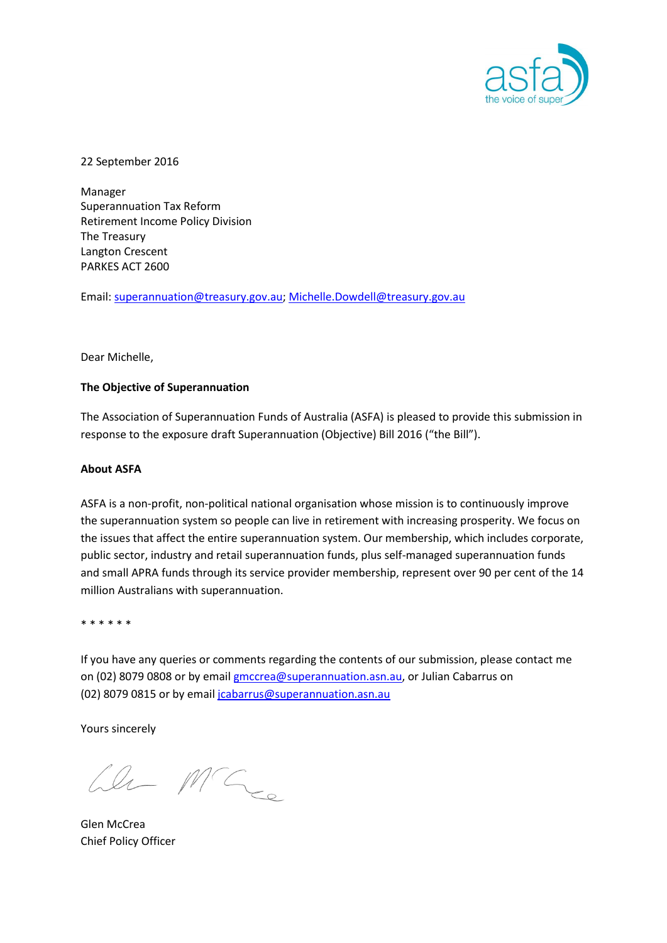

22 September 2016

Manager Superannuation Tax Reform Retirement Income Policy Division The Treasury Langton Crescent PARKES ACT 2600

Email: [superannuation@treasury.gov.au;](mailto:superannuation@treasury.gov.au) Michelle.Dowdell@treasury.gov.au

#### Dear Michelle,

#### **The Objective of Superannuation**

The Association of Superannuation Funds of Australia (ASFA) is pleased to provide this submission in response to the exposure draft Superannuation (Objective) Bill 2016 ("the Bill").

#### **About ASFA**

ASFA is a non-profit, non-political national organisation whose mission is to continuously improve the superannuation system so people can live in retirement with increasing prosperity. We focus on the issues that affect the entire superannuation system. Our membership, which includes corporate, public sector, industry and retail superannuation funds, plus self-managed superannuation funds and small APRA funds through its service provider membership, represent over 90 per cent of the 14 million Australians with superannuation.

\* \* \* \* \* \*

If you have any queries or comments regarding the contents of our submission, please contact me on (02) 8079 0808 or by email **gmccrea@superannuation.asn.au**, or Julian Cabarrus on (02) 8079 0815 or by email [jcabarrus@superannuation.asn.au](mailto:jcabarrus@superannuation.asn.au)

Yours sincerely

We MG

Glen McCrea Chief Policy Officer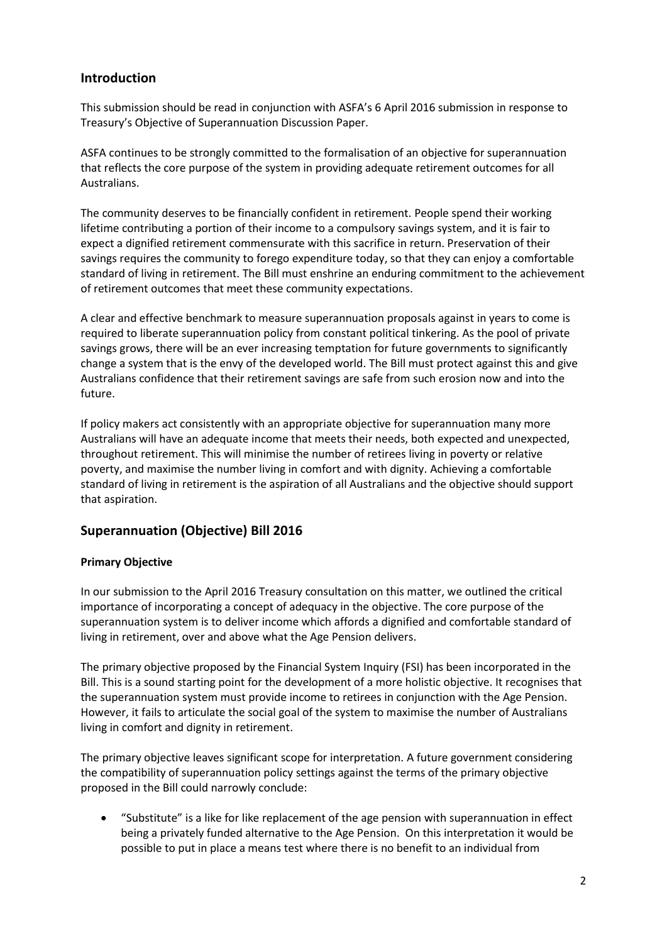# **Introduction**

This submission should be read in conjunction with ASFA's 6 April 2016 submission in response to Treasury's Objective of Superannuation Discussion Paper.

ASFA continues to be strongly committed to the formalisation of an objective for superannuation that reflects the core purpose of the system in providing adequate retirement outcomes for all Australians.

The community deserves to be financially confident in retirement. People spend their working lifetime contributing a portion of their income to a compulsory savings system, and it is fair to expect a dignified retirement commensurate with this sacrifice in return. Preservation of their savings requires the community to forego expenditure today, so that they can enjoy a comfortable standard of living in retirement. The Bill must enshrine an enduring commitment to the achievement of retirement outcomes that meet these community expectations.

A clear and effective benchmark to measure superannuation proposals against in years to come is required to liberate superannuation policy from constant political tinkering. As the pool of private savings grows, there will be an ever increasing temptation for future governments to significantly change a system that is the envy of the developed world. The Bill must protect against this and give Australians confidence that their retirement savings are safe from such erosion now and into the future.

If policy makers act consistently with an appropriate objective for superannuation many more Australians will have an adequate income that meets their needs, both expected and unexpected, throughout retirement. This will minimise the number of retirees living in poverty or relative poverty, and maximise the number living in comfort and with dignity. Achieving a comfortable standard of living in retirement is the aspiration of all Australians and the objective should support that aspiration.

# **Superannuation (Objective) Bill 2016**

# **Primary Objective**

In our submission to the April 2016 Treasury consultation on this matter, we outlined the critical importance of incorporating a concept of adequacy in the objective. The core purpose of the superannuation system is to deliver income which affords a dignified and comfortable standard of living in retirement, over and above what the Age Pension delivers.

The primary objective proposed by the Financial System Inquiry (FSI) has been incorporated in the Bill. This is a sound starting point for the development of a more holistic objective. It recognises that the superannuation system must provide income to retirees in conjunction with the Age Pension. However, it fails to articulate the social goal of the system to maximise the number of Australians living in comfort and dignity in retirement.

The primary objective leaves significant scope for interpretation. A future government considering the compatibility of superannuation policy settings against the terms of the primary objective proposed in the Bill could narrowly conclude:

 "Substitute" is a like for like replacement of the age pension with superannuation in effect being a privately funded alternative to the Age Pension. On this interpretation it would be possible to put in place a means test where there is no benefit to an individual from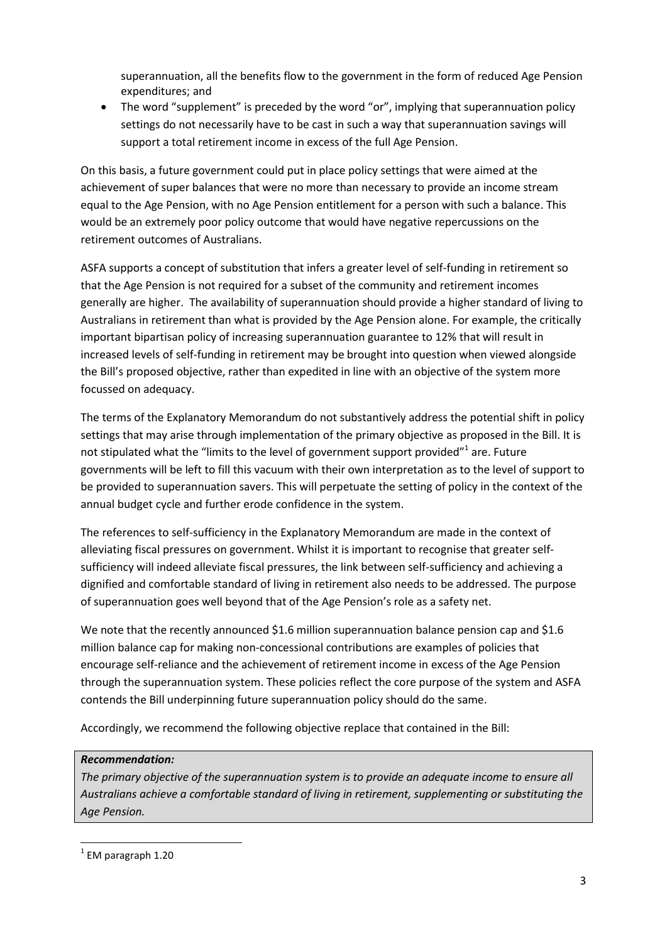superannuation, all the benefits flow to the government in the form of reduced Age Pension expenditures; and

 The word "supplement" is preceded by the word "or", implying that superannuation policy settings do not necessarily have to be cast in such a way that superannuation savings will support a total retirement income in excess of the full Age Pension.

On this basis, a future government could put in place policy settings that were aimed at the achievement of super balances that were no more than necessary to provide an income stream equal to the Age Pension, with no Age Pension entitlement for a person with such a balance. This would be an extremely poor policy outcome that would have negative repercussions on the retirement outcomes of Australians.

ASFA supports a concept of substitution that infers a greater level of self-funding in retirement so that the Age Pension is not required for a subset of the community and retirement incomes generally are higher. The availability of superannuation should provide a higher standard of living to Australians in retirement than what is provided by the Age Pension alone. For example, the critically important bipartisan policy of increasing superannuation guarantee to 12% that will result in increased levels of self-funding in retirement may be brought into question when viewed alongside the Bill's proposed objective, rather than expedited in line with an objective of the system more focussed on adequacy.

The terms of the Explanatory Memorandum do not substantively address the potential shift in policy settings that may arise through implementation of the primary objective as proposed in the Bill. It is not stipulated what the "limits to the level of government support provided"<sup>1</sup> are. Future governments will be left to fill this vacuum with their own interpretation as to the level of support to be provided to superannuation savers. This will perpetuate the setting of policy in the context of the annual budget cycle and further erode confidence in the system.

The references to self-sufficiency in the Explanatory Memorandum are made in the context of alleviating fiscal pressures on government. Whilst it is important to recognise that greater selfsufficiency will indeed alleviate fiscal pressures, the link between self-sufficiency and achieving a dignified and comfortable standard of living in retirement also needs to be addressed. The purpose of superannuation goes well beyond that of the Age Pension's role as a safety net.

We note that the recently announced \$1.6 million superannuation balance pension cap and \$1.6 million balance cap for making non-concessional contributions are examples of policies that encourage self-reliance and the achievement of retirement income in excess of the Age Pension through the superannuation system. These policies reflect the core purpose of the system and ASFA contends the Bill underpinning future superannuation policy should do the same.

Accordingly, we recommend the following objective replace that contained in the Bill:

# *Recommendation:*

*The primary objective of the superannuation system is to provide an adequate income to ensure all Australians achieve a comfortable standard of living in retirement, supplementing or substituting the Age Pension.*

 $^{1}$  EM paragraph 1.20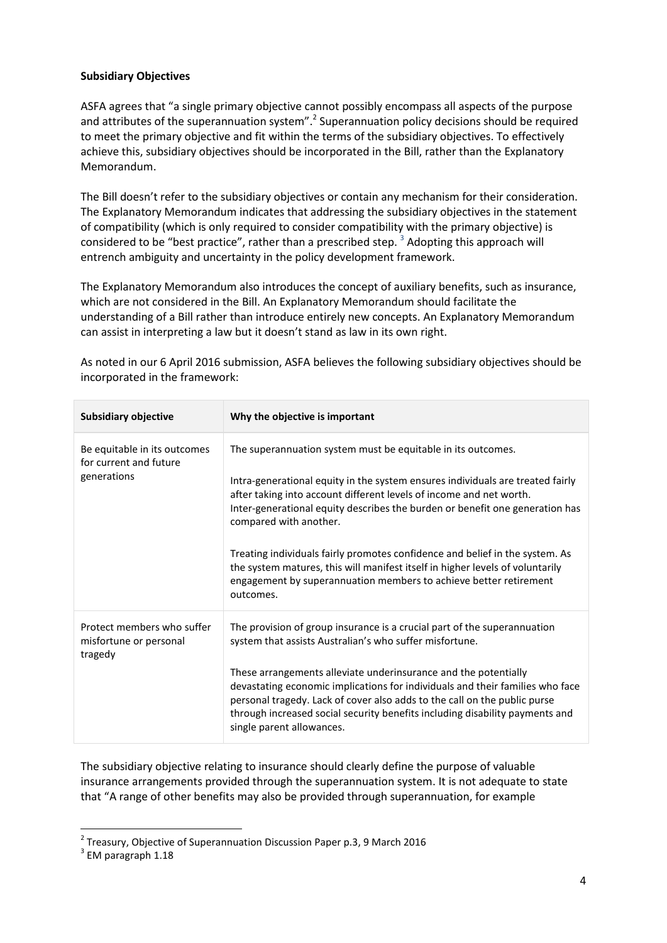## **Subsidiary Objectives**

ASFA agrees that "a single primary objective cannot possibly encompass all aspects of the purpose and attributes of the superannuation system".<sup>2</sup> Superannuation policy decisions should be required to meet the primary objective and fit within the terms of the subsidiary objectives. To effectively achieve this, subsidiary objectives should be incorporated in the Bill, rather than the Explanatory Memorandum.

The Bill doesn't refer to the subsidiary objectives or contain any mechanism for their consideration. The Explanatory Memorandum indicates that addressing the subsidiary objectives in the statement of compatibility (which is only required to consider compatibility with the primary objective) is considered to be "best practice", rather than a prescribed step.  $^3$  Adopting this approach will entrench ambiguity and uncertainty in the policy development framework.

The Explanatory Memorandum also introduces the concept of auxiliary benefits, such as insurance, which are not considered in the Bill. An Explanatory Memorandum should facilitate the understanding of a Bill rather than introduce entirely new concepts. An Explanatory Memorandum can assist in interpreting a law but it doesn't stand as law in its own right.

As noted in our 6 April 2016 submission, ASFA believes the following subsidiary objectives should be incorporated in the framework:

| <b>Subsidiary objective</b>                                           | Why the objective is important                                                                                                                                                                                                                                                                                                                                                                                                                                                                                                                                                     |
|-----------------------------------------------------------------------|------------------------------------------------------------------------------------------------------------------------------------------------------------------------------------------------------------------------------------------------------------------------------------------------------------------------------------------------------------------------------------------------------------------------------------------------------------------------------------------------------------------------------------------------------------------------------------|
| Be equitable in its outcomes<br>for current and future<br>generations | The superannuation system must be equitable in its outcomes.<br>Intra-generational equity in the system ensures individuals are treated fairly<br>after taking into account different levels of income and net worth.<br>Inter-generational equity describes the burden or benefit one generation has<br>compared with another.<br>Treating individuals fairly promotes confidence and belief in the system. As<br>the system matures, this will manifest itself in higher levels of voluntarily<br>engagement by superannuation members to achieve better retirement<br>outcomes. |
| Protect members who suffer<br>misfortune or personal<br>tragedy       | The provision of group insurance is a crucial part of the superannuation<br>system that assists Australian's who suffer misfortune.<br>These arrangements alleviate underinsurance and the potentially<br>devastating economic implications for individuals and their families who face<br>personal tragedy. Lack of cover also adds to the call on the public purse<br>through increased social security benefits including disability payments and<br>single parent allowances.                                                                                                  |

The subsidiary objective relating to insurance should clearly define the purpose of valuable insurance arrangements provided through the superannuation system. It is not adequate to state that "A range of other benefits may also be provided through superannuation, for example

 $^{2}$  Treasury, Objective of Superannuation Discussion Paper p.3, 9 March 2016

 $3$  EM paragraph 1.18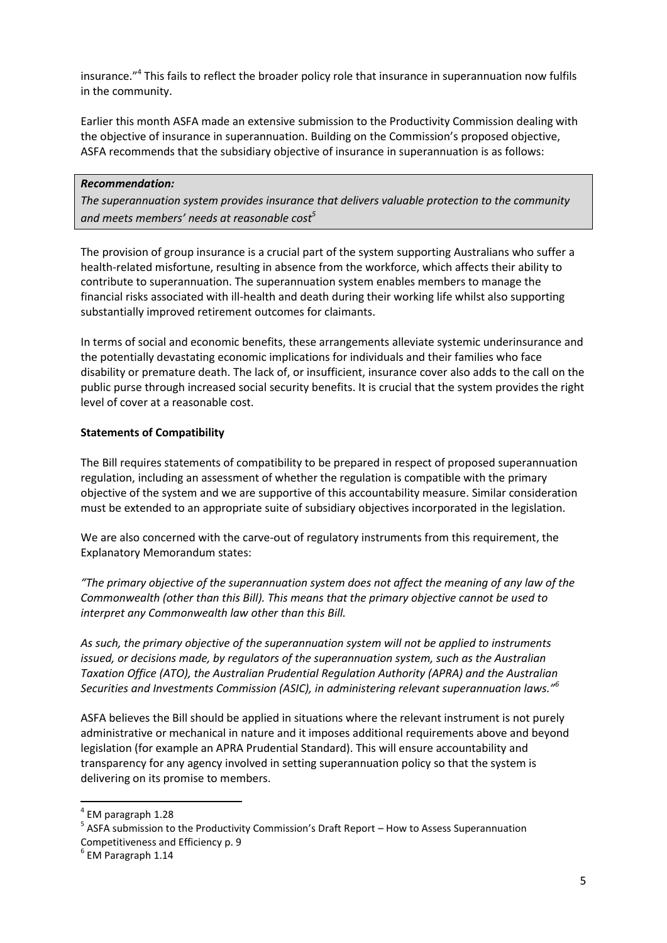insurance."<sup>4</sup> This fails to reflect the broader policy role that insurance in superannuation now fulfils in the community.

Earlier this month ASFA made an extensive submission to the Productivity Commission dealing with the objective of insurance in superannuation. Building on the Commission's proposed objective, ASFA recommends that the subsidiary objective of insurance in superannuation is as follows:

## *Recommendation:*

*The superannuation system provides insurance that delivers valuable protection to the community and meets members' needs at reasonable cost<sup>5</sup>*

The provision of group insurance is a crucial part of the system supporting Australians who suffer a health-related misfortune, resulting in absence from the workforce, which affects their ability to contribute to superannuation. The superannuation system enables members to manage the financial risks associated with ill-health and death during their working life whilst also supporting substantially improved retirement outcomes for claimants.

In terms of social and economic benefits, these arrangements alleviate systemic underinsurance and the potentially devastating economic implications for individuals and their families who face disability or premature death. The lack of, or insufficient, insurance cover also adds to the call on the public purse through increased social security benefits. It is crucial that the system provides the right level of cover at a reasonable cost.

# **Statements of Compatibility**

The Bill requires statements of compatibility to be prepared in respect of proposed superannuation regulation, including an assessment of whether the regulation is compatible with the primary objective of the system and we are supportive of this accountability measure. Similar consideration must be extended to an appropriate suite of subsidiary objectives incorporated in the legislation.

We are also concerned with the carve-out of regulatory instruments from this requirement, the Explanatory Memorandum states:

*"The primary objective of the superannuation system does not affect the meaning of any law of the Commonwealth (other than this Bill). This means that the primary objective cannot be used to interpret any Commonwealth law other than this Bill.*

*As such, the primary objective of the superannuation system will not be applied to instruments issued, or decisions made, by regulators of the superannuation system, such as the Australian Taxation Office (ATO), the Australian Prudential Regulation Authority (APRA) and the Australian Securities and Investments Commission (ASIC), in administering relevant superannuation laws."<sup>6</sup>*

ASFA believes the Bill should be applied in situations where the relevant instrument is not purely administrative or mechanical in nature and it imposes additional requirements above and beyond legislation (for example an APRA Prudential Standard). This will ensure accountability and transparency for any agency involved in setting superannuation policy so that the system is delivering on its promise to members.

<sup>4</sup> EM paragraph 1.28

<sup>&</sup>lt;sup>5</sup> ASFA submission to the Productivity Commission's Draft Report – How to Assess Superannuation Competitiveness and Efficiency p. 9

 $<sup>6</sup>$  EM Paragraph 1.14</sup>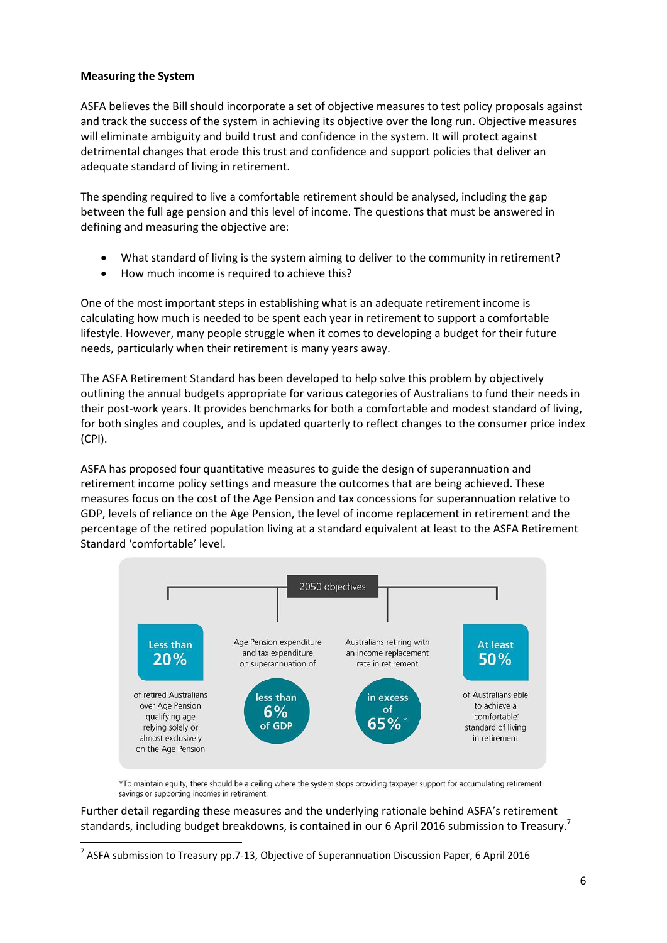## **Measuring the System**

**.** 

ASFA believes the Bill should incorporate a set of objective measures to test policy proposals against and track the success of the system in achieving its objective over the long run. Objective measures will eliminate ambiguity and build trust and confidence in the system. It will protect against detrimental changes that erode this trust and confidence and support policies that deliver an adequate standard of living in retirement.

The spending required to live a comfortable retirement should be analysed, including the gap between the full age pension and this level of income. The questions that must be answered in defining and measuring the objective are:

- What standard of living is the system aiming to deliver to the community in retirement?
- How much income is required to achieve this?

One of the most important steps in establishing what is an adequate retirement income is calculating how much is needed to be spent each year in retirement to support a comfortable lifestyle. However, many people struggle when it comes to developing a budget for their future needs, particularly when their retirement is many years away.

The ASFA Retirement Standard has been developed to help solve this problem by objectively outlining the annual budgets appropriate for various categories of Australians to fund their needs in their post-work years. It provides benchmarks for both a comfortable and modest standard of living, for both singles and couples, and is updated quarterly to reflect changes to the consumer price index (CPI).

ASFA has proposed four quantitative measures to guide the design of superannuation and retirement income policy settings and measure the outcomes that are being achieved. These measures focus on the cost of the Age Pension and tax concessions for superannuation relative to GDP, levels of reliance on the Age Pension, the level of income replacement in retirement and the percentage of the retired population living at a standard equivalent at least to the ASFA Retirement Standard 'comfortable' level.



\*To maintain equity, there should be a ceiling where the system stops providing taxpayer support for accumulating retirement savings or supporting incomes in retirement.

Further detail regarding these measures and the underlying rationale behind ASFA's retirement standards, including budget breakdowns, is contained in our 6 April 2016 submission to Treasury.<sup>7</sup>

 $^7$  ASFA submission to Treasury pp.7-13, Objective of Superannuation Discussion Paper, 6 April 2016